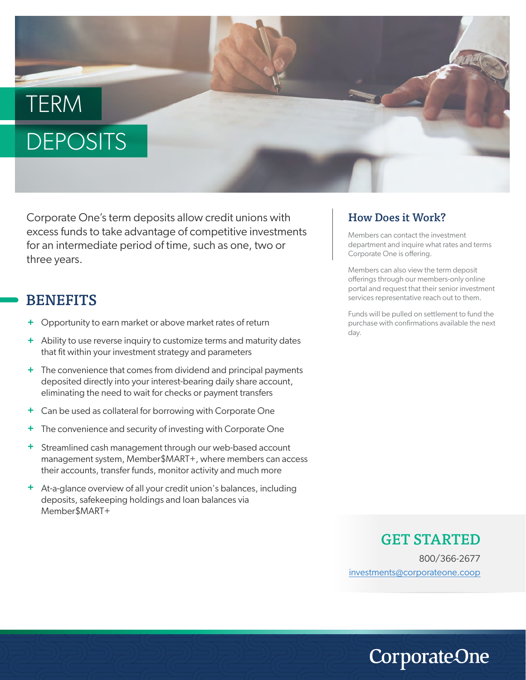# **TERM** DEPOSITS

Corporate One's term deposits allow credit unions with excess funds to take advantage of competitive investments for an intermediate period of time, such as one, two or three years.

## **BENEFITS**

- **+** Opportunity to earn market or above market rates of return
- **+** Ability to use reverse inquiry to customize terms and maturity dates that fit within your investment strategy and parameters
- **+** The convenience that comes from dividend and principal payments deposited directly into your interest-bearing daily share account, eliminating the need to wait for checks or payment transfers
- **+** Can be used as collateral for borrowing with Corporate One
- **+** The convenience and security of investing with Corporate One
- **+** Streamlined cash management through our web-based account management system, Member\$MART+, where members can access their accounts, transfer funds, monitor activity and much more
- **+** At-a-glance overview of all your credit union's balances, including deposits, safekeeping holdings and loan balances via Member\$MART+

#### How Does it Work?

Members can contact the investment department and inquire what rates and terms Corporate One is offering.

Members can also view the term deposit offerings through our members-only online portal and request that their senior investment services representative reach out to them.

Funds will be pulled on settlement to fund the purchase with confirmations available the next day.

### GET STARTED

800/366-2677 investments@corporateone.coop

**CorporateOne**